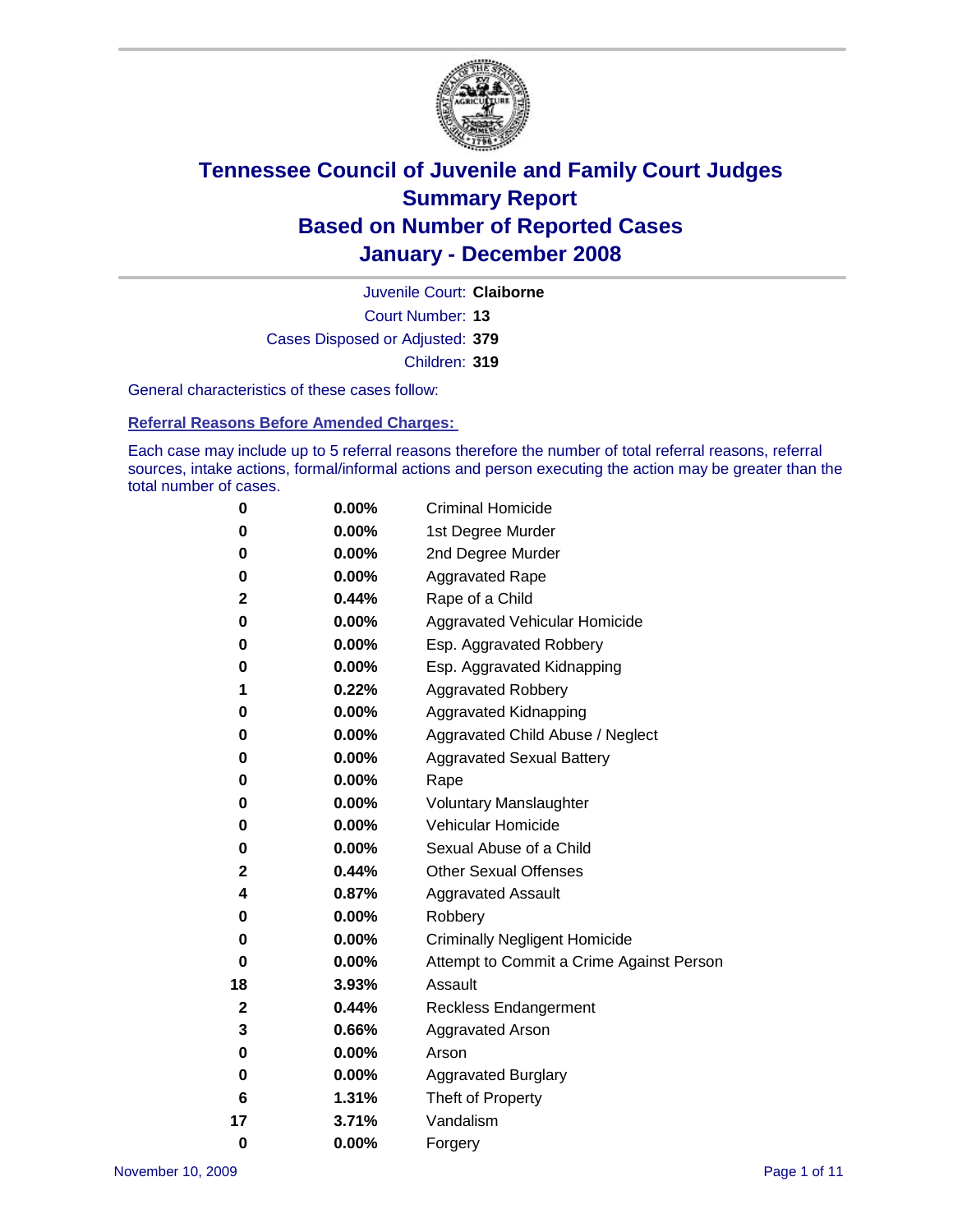

Court Number: **13** Juvenile Court: **Claiborne** Cases Disposed or Adjusted: **379** Children: **319**

General characteristics of these cases follow:

**Referral Reasons Before Amended Charges:** 

Each case may include up to 5 referral reasons therefore the number of total referral reasons, referral sources, intake actions, formal/informal actions and person executing the action may be greater than the total number of cases.

| 0        | 0.00%    | <b>Criminal Homicide</b>                 |
|----------|----------|------------------------------------------|
| 0        | 0.00%    | 1st Degree Murder                        |
| 0        | $0.00\%$ | 2nd Degree Murder                        |
| 0        | 0.00%    | <b>Aggravated Rape</b>                   |
| 2        | 0.44%    | Rape of a Child                          |
| 0        | 0.00%    | Aggravated Vehicular Homicide            |
| 0        | 0.00%    | Esp. Aggravated Robbery                  |
| 0        | 0.00%    | Esp. Aggravated Kidnapping               |
| 1        | 0.22%    | <b>Aggravated Robbery</b>                |
| 0        | 0.00%    | Aggravated Kidnapping                    |
| 0        | 0.00%    | Aggravated Child Abuse / Neglect         |
| 0        | $0.00\%$ | <b>Aggravated Sexual Battery</b>         |
| 0        | 0.00%    | Rape                                     |
| 0        | 0.00%    | <b>Voluntary Manslaughter</b>            |
| 0        | 0.00%    | Vehicular Homicide                       |
| 0        | 0.00%    | Sexual Abuse of a Child                  |
| 2        | 0.44%    | <b>Other Sexual Offenses</b>             |
| 4        | 0.87%    | <b>Aggravated Assault</b>                |
| 0        | $0.00\%$ | Robbery                                  |
| 0        | 0.00%    | <b>Criminally Negligent Homicide</b>     |
| 0        | 0.00%    | Attempt to Commit a Crime Against Person |
| 18       | 3.93%    | Assault                                  |
| 2        | 0.44%    | <b>Reckless Endangerment</b>             |
| 3        | 0.66%    | <b>Aggravated Arson</b>                  |
| 0        | 0.00%    | Arson                                    |
| 0        | $0.00\%$ | <b>Aggravated Burglary</b>               |
| 6        | 1.31%    | Theft of Property                        |
| 17       | 3.71%    | Vandalism                                |
| $\bf{0}$ | 0.00%    | Forgery                                  |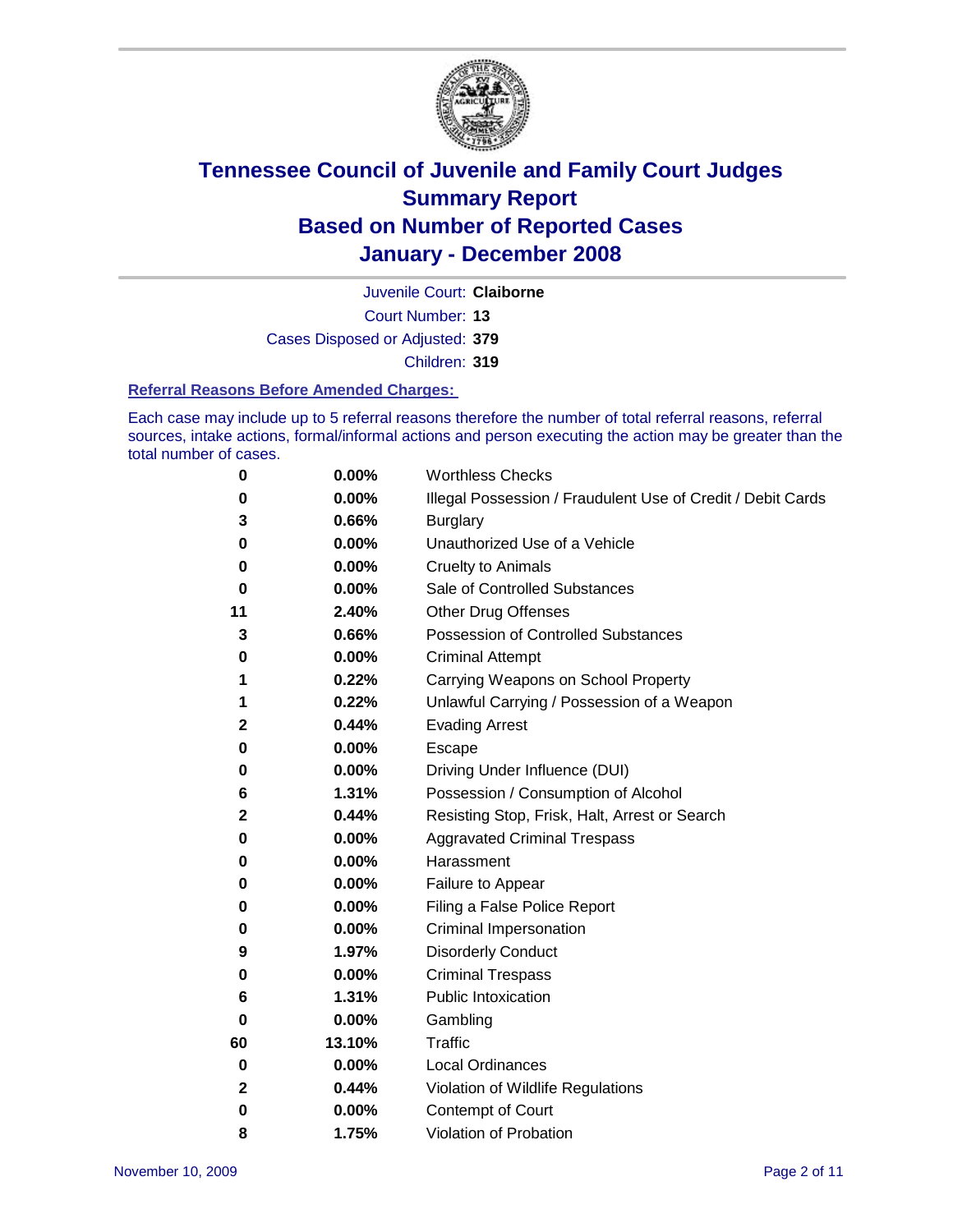

Court Number: **13** Juvenile Court: **Claiborne** Cases Disposed or Adjusted: **379** Children: **319**

#### **Referral Reasons Before Amended Charges:**

Each case may include up to 5 referral reasons therefore the number of total referral reasons, referral sources, intake actions, formal/informal actions and person executing the action may be greater than the total number of cases.

| 0        | 0.00%  | <b>Worthless Checks</b>                                     |
|----------|--------|-------------------------------------------------------------|
| 0        | 0.00%  | Illegal Possession / Fraudulent Use of Credit / Debit Cards |
| 3        | 0.66%  | <b>Burglary</b>                                             |
| 0        | 0.00%  | Unauthorized Use of a Vehicle                               |
| 0        | 0.00%  | <b>Cruelty to Animals</b>                                   |
| 0        | 0.00%  | Sale of Controlled Substances                               |
| 11       | 2.40%  | <b>Other Drug Offenses</b>                                  |
| 3        | 0.66%  | <b>Possession of Controlled Substances</b>                  |
| 0        | 0.00%  | <b>Criminal Attempt</b>                                     |
| 1        | 0.22%  | Carrying Weapons on School Property                         |
| 1        | 0.22%  | Unlawful Carrying / Possession of a Weapon                  |
| 2        | 0.44%  | <b>Evading Arrest</b>                                       |
| 0        | 0.00%  | Escape                                                      |
| 0        | 0.00%  | Driving Under Influence (DUI)                               |
| 6        | 1.31%  | Possession / Consumption of Alcohol                         |
| 2        | 0.44%  | Resisting Stop, Frisk, Halt, Arrest or Search               |
| 0        | 0.00%  | <b>Aggravated Criminal Trespass</b>                         |
| 0        | 0.00%  | Harassment                                                  |
| 0        | 0.00%  | Failure to Appear                                           |
| 0        | 0.00%  | Filing a False Police Report                                |
| 0        | 0.00%  | Criminal Impersonation                                      |
| 9        | 1.97%  | <b>Disorderly Conduct</b>                                   |
| 0        | 0.00%  | <b>Criminal Trespass</b>                                    |
| 6        | 1.31%  | <b>Public Intoxication</b>                                  |
| 0        | 0.00%  | Gambling                                                    |
| 60       | 13.10% | Traffic                                                     |
| 0        | 0.00%  | <b>Local Ordinances</b>                                     |
| 2        | 0.44%  | Violation of Wildlife Regulations                           |
| $\bf{0}$ | 0.00%  | <b>Contempt of Court</b>                                    |
| 8        | 1.75%  | Violation of Probation                                      |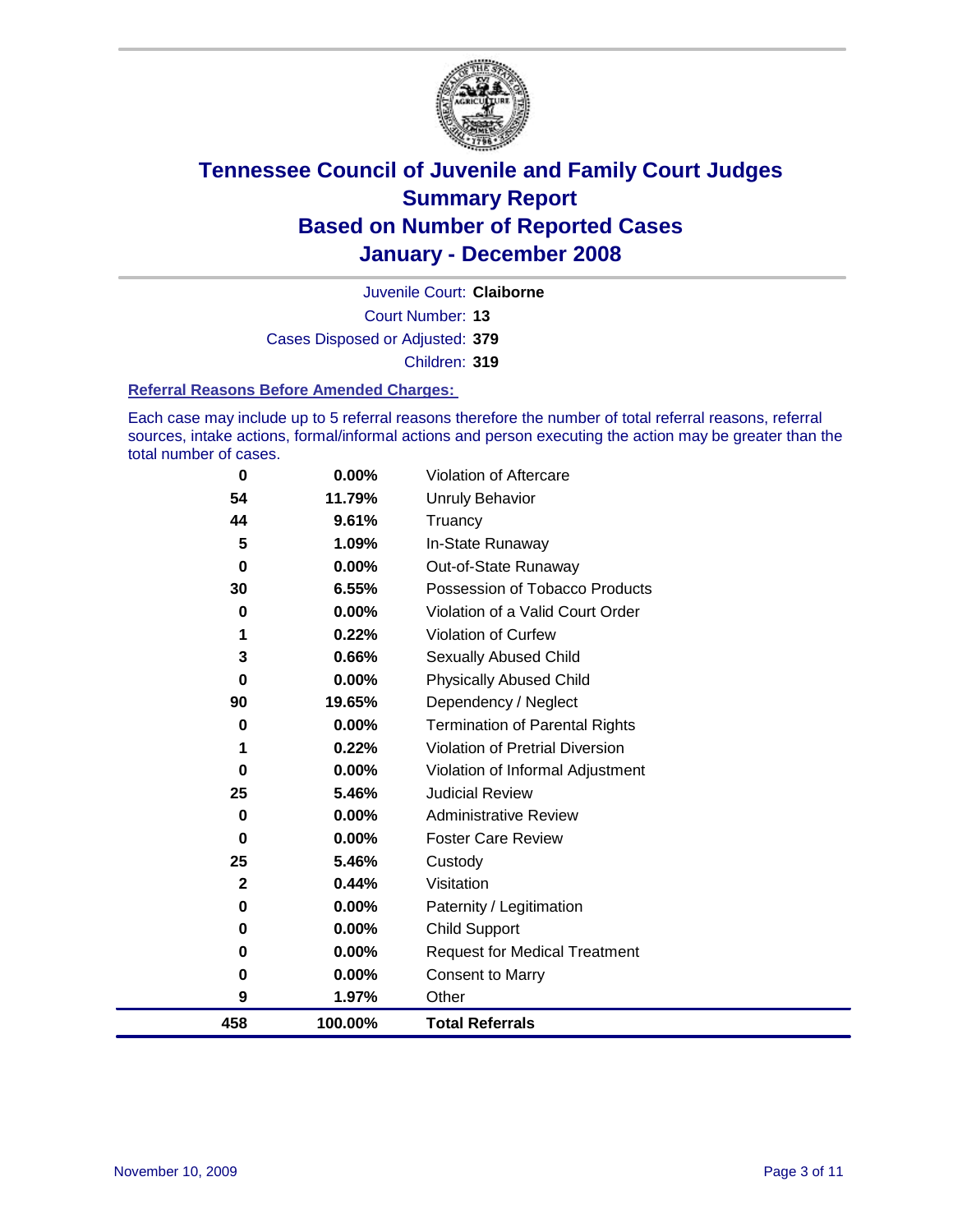

Court Number: **13** Juvenile Court: **Claiborne** Cases Disposed or Adjusted: **379** Children: **319**

#### **Referral Reasons Before Amended Charges:**

Each case may include up to 5 referral reasons therefore the number of total referral reasons, referral sources, intake actions, formal/informal actions and person executing the action may be greater than the total number of cases.

| 0           | 0.00%    | Violation of Aftercare                 |
|-------------|----------|----------------------------------------|
| 54          | 11.79%   | <b>Unruly Behavior</b>                 |
| 44          | 9.61%    | Truancy                                |
| 5           | 1.09%    | In-State Runaway                       |
| $\bf{0}$    | $0.00\%$ | Out-of-State Runaway                   |
| 30          | 6.55%    | Possession of Tobacco Products         |
| 0           | $0.00\%$ | Violation of a Valid Court Order       |
|             | 0.22%    | Violation of Curfew                    |
| 3           | 0.66%    | Sexually Abused Child                  |
| 0           | $0.00\%$ | <b>Physically Abused Child</b>         |
| 90          | 19.65%   | Dependency / Neglect                   |
| 0           | 0.00%    | <b>Termination of Parental Rights</b>  |
| 1           | 0.22%    | <b>Violation of Pretrial Diversion</b> |
| 0           | $0.00\%$ | Violation of Informal Adjustment       |
| 25          | 5.46%    | <b>Judicial Review</b>                 |
| 0           | 0.00%    | <b>Administrative Review</b>           |
| 0           | $0.00\%$ | <b>Foster Care Review</b>              |
| 25          | 5.46%    | Custody                                |
| $\mathbf 2$ | 0.44%    | Visitation                             |
| 0           | 0.00%    | Paternity / Legitimation               |
| 0           | 0.00%    | <b>Child Support</b>                   |
| 0           | 0.00%    | <b>Request for Medical Treatment</b>   |
| 0           | 0.00%    | <b>Consent to Marry</b>                |
| 9           | 1.97%    | Other                                  |
| 458         | 100.00%  | <b>Total Referrals</b>                 |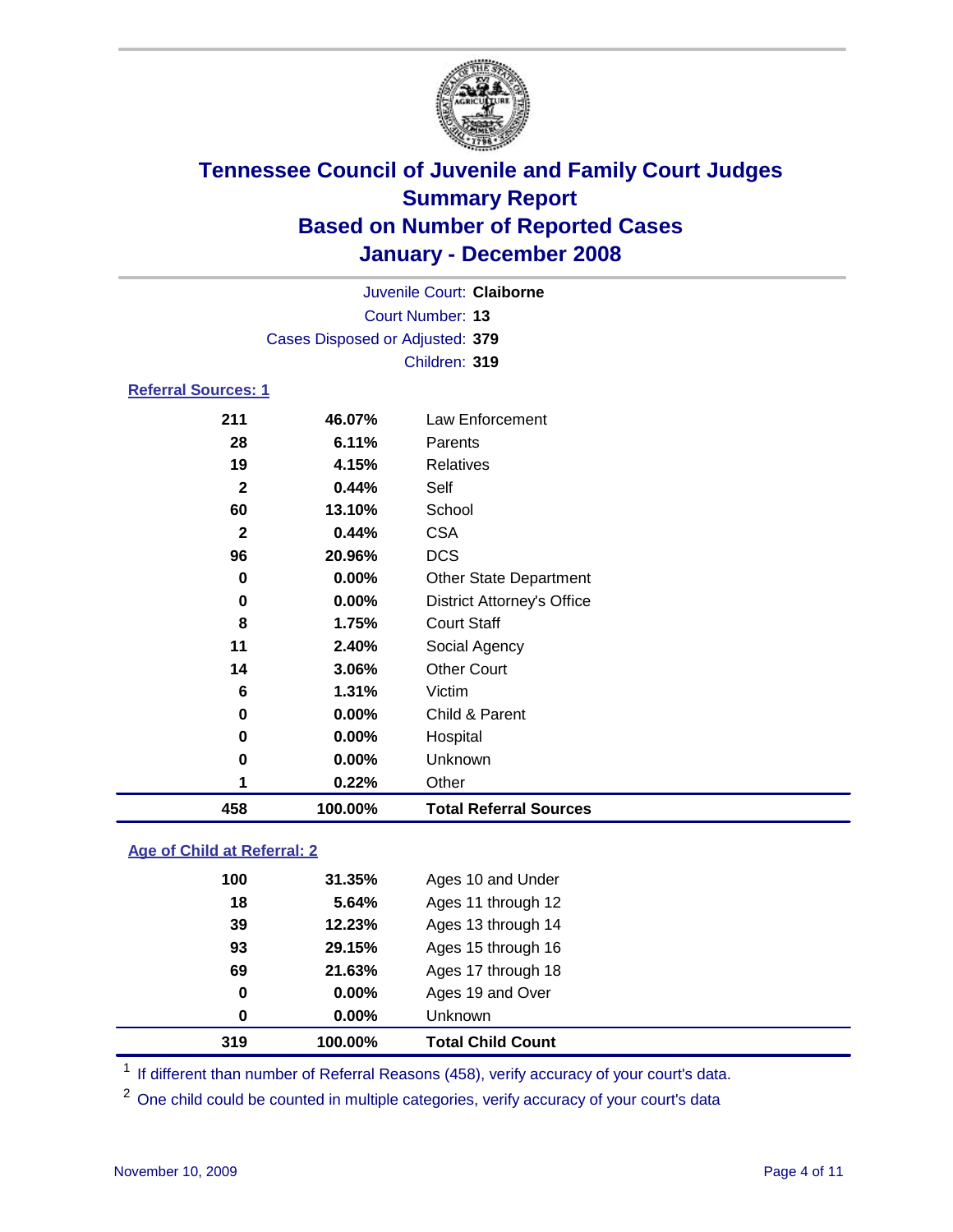

|                            |                                 | Juvenile Court: Claiborne         |  |
|----------------------------|---------------------------------|-----------------------------------|--|
|                            |                                 | Court Number: 13                  |  |
|                            | Cases Disposed or Adjusted: 379 |                                   |  |
|                            |                                 | Children: 319                     |  |
| <b>Referral Sources: 1</b> |                                 |                                   |  |
| 211                        | 46.07%                          | Law Enforcement                   |  |
| 28                         | 6.11%                           | Parents                           |  |
| 19                         | 4.15%                           | <b>Relatives</b>                  |  |
| $\mathbf{2}$               | 0.44%                           | Self                              |  |
| 60                         | 13.10%                          | School                            |  |
| 2                          | 0.44%                           | <b>CSA</b>                        |  |
| 96                         | 20.96%                          | <b>DCS</b>                        |  |
| 0                          | $0.00\%$                        | <b>Other State Department</b>     |  |
| 0                          | $0.00\%$                        | <b>District Attorney's Office</b> |  |

| 458 | 100.00%       | <b>Total Referral Sources</b>       |
|-----|---------------|-------------------------------------|
| 1   | 0.22%         | Other                               |
| 0   | 0.00%         | Unknown                             |
| 0   | 0.00%         | Hospital                            |
| 0   | 0.00%         | Child & Parent                      |
| 6   | 1.31%         | Victim                              |
| 14  | 3.06%         | <b>Other Court</b>                  |
| 11  | 2.40%         | Social Agency                       |
| 8   | 1.75%         | <b>Court Staff</b>                  |
| v   | <u>v.vv.u</u> | <b>PRODUCT MOTITIEY &amp; OTHER</b> |

### **Age of Child at Referral: 2**

| 319 | 100.00% | <b>Total Child Count</b> |
|-----|---------|--------------------------|
| 0   | 0.00%   | <b>Unknown</b>           |
| 0   | 0.00%   | Ages 19 and Over         |
| 69  | 21.63%  | Ages 17 through 18       |
| 93  | 29.15%  | Ages 15 through 16       |
| 39  | 12.23%  | Ages 13 through 14       |
| 18  | 5.64%   | Ages 11 through 12       |
| 100 | 31.35%  | Ages 10 and Under        |
|     |         |                          |

<sup>1</sup> If different than number of Referral Reasons (458), verify accuracy of your court's data.

<sup>2</sup> One child could be counted in multiple categories, verify accuracy of your court's data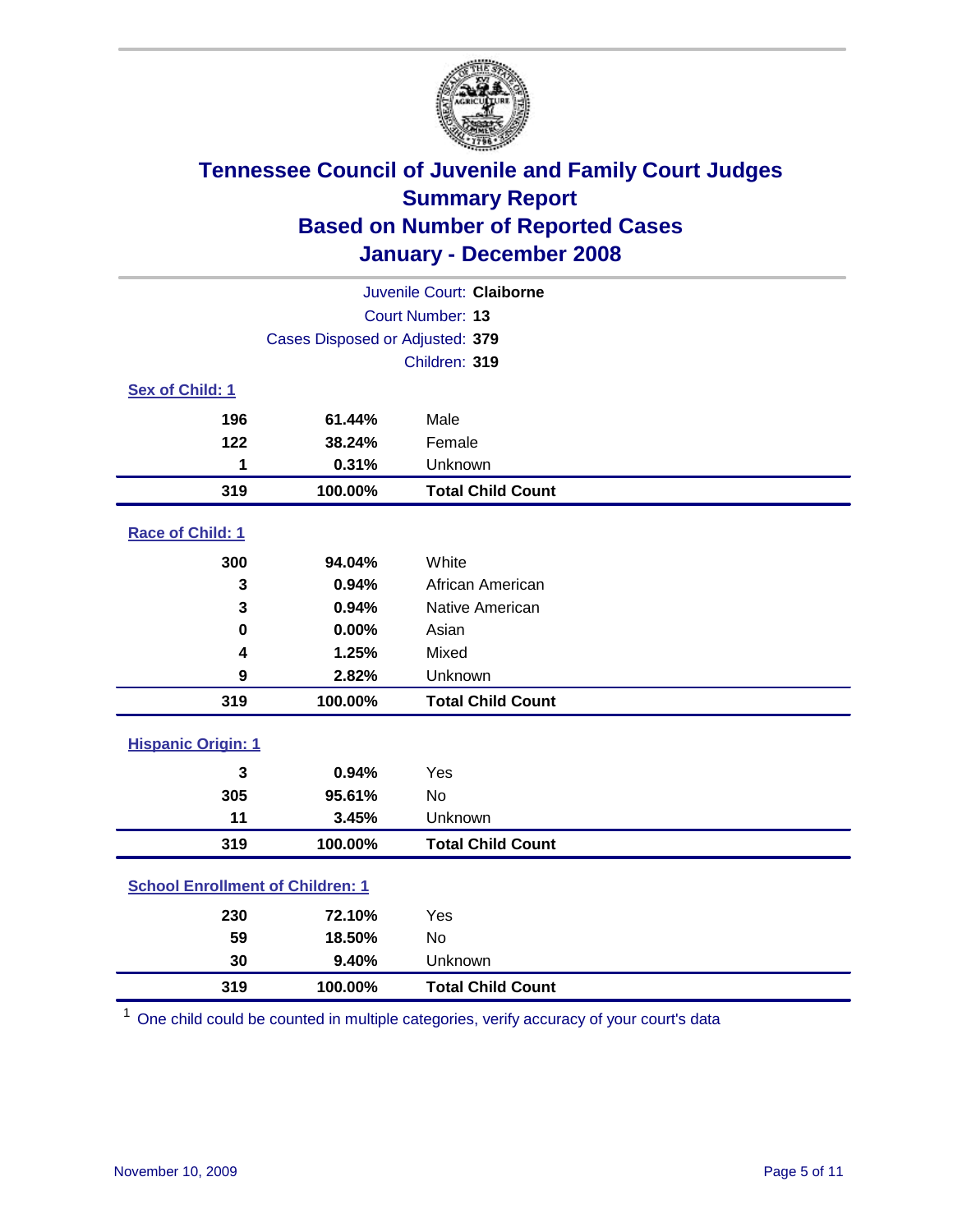

|                                         |                                 | Juvenile Court: Claiborne |  |  |  |
|-----------------------------------------|---------------------------------|---------------------------|--|--|--|
|                                         | Court Number: 13                |                           |  |  |  |
|                                         | Cases Disposed or Adjusted: 379 |                           |  |  |  |
|                                         |                                 | Children: 319             |  |  |  |
| Sex of Child: 1                         |                                 |                           |  |  |  |
| 196                                     | 61.44%                          | Male                      |  |  |  |
| 122                                     | 38.24%                          | Female                    |  |  |  |
| 1                                       | 0.31%                           | Unknown                   |  |  |  |
| 319                                     | 100.00%                         | <b>Total Child Count</b>  |  |  |  |
| Race of Child: 1                        |                                 |                           |  |  |  |
| 300                                     | 94.04%                          | White                     |  |  |  |
| 3                                       | 0.94%                           | African American          |  |  |  |
| 3                                       | 0.94%                           | Native American           |  |  |  |
| 0                                       | 0.00%                           | Asian                     |  |  |  |
| 4                                       | 1.25%                           | Mixed                     |  |  |  |
| 9                                       | 2.82%                           | Unknown                   |  |  |  |
| 319                                     | 100.00%                         | <b>Total Child Count</b>  |  |  |  |
| <b>Hispanic Origin: 1</b>               |                                 |                           |  |  |  |
| 3                                       | 0.94%                           | Yes                       |  |  |  |
| 305                                     | 95.61%                          | <b>No</b>                 |  |  |  |
| 11                                      | 3.45%                           | Unknown                   |  |  |  |
| 319                                     | 100.00%                         | <b>Total Child Count</b>  |  |  |  |
| <b>School Enrollment of Children: 1</b> |                                 |                           |  |  |  |
| 230                                     | 72.10%                          | Yes                       |  |  |  |
| 59                                      | 18.50%                          | No                        |  |  |  |
| 30                                      | 9.40%                           | Unknown                   |  |  |  |
| 319                                     | 100.00%                         | <b>Total Child Count</b>  |  |  |  |

One child could be counted in multiple categories, verify accuracy of your court's data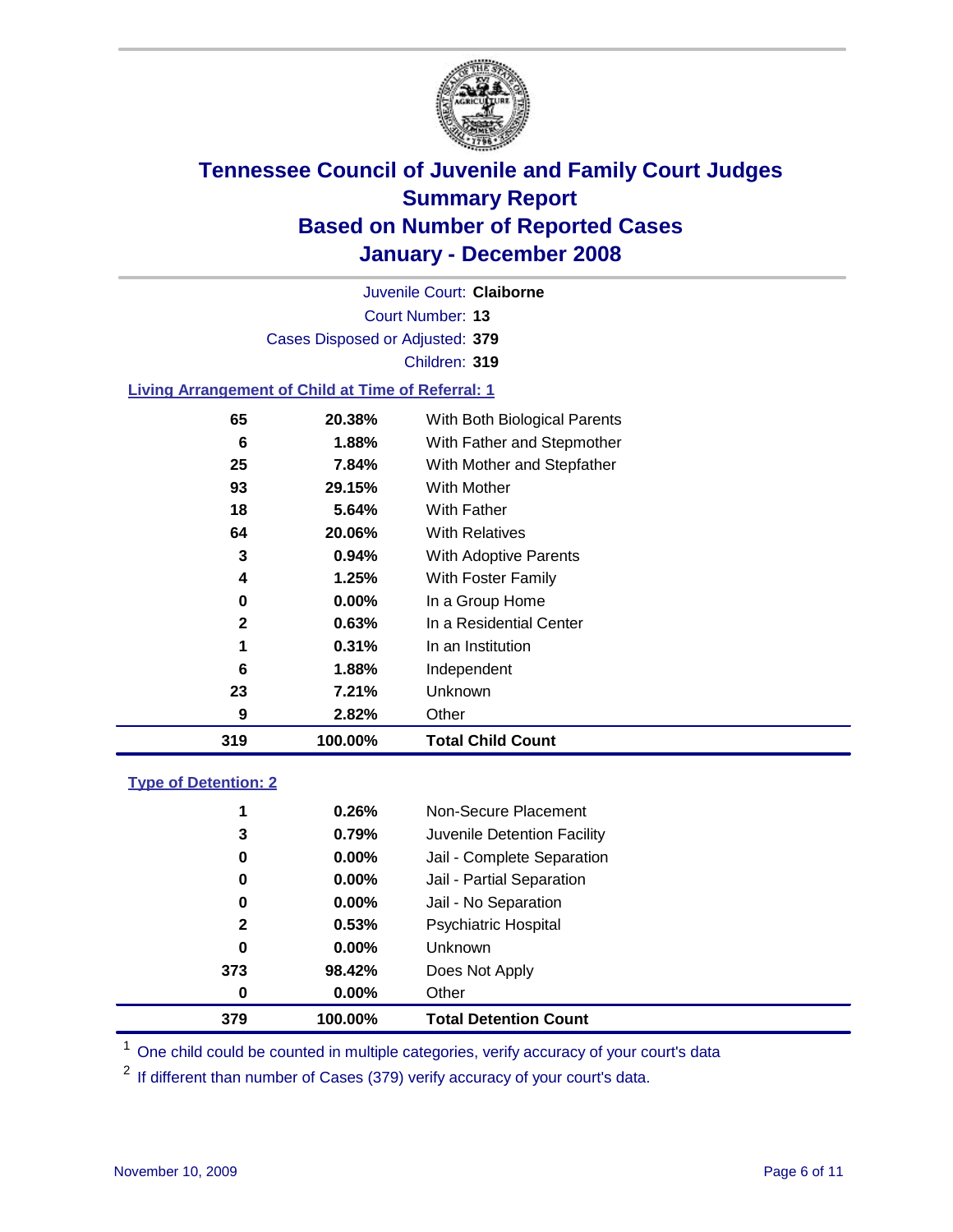

Court Number: **13** Juvenile Court: **Claiborne** Cases Disposed or Adjusted: **379** Children: **319 Living Arrangement of Child at Time of Referral: 1**

| 319 | 100.00%  | <b>Total Child Count</b>     |
|-----|----------|------------------------------|
| 9   | 2.82%    | Other                        |
| 23  | 7.21%    | Unknown                      |
| 6   | 1.88%    | Independent                  |
| 1   | 0.31%    | In an Institution            |
| 2   | 0.63%    | In a Residential Center      |
| 0   | $0.00\%$ | In a Group Home              |
| 4   | 1.25%    | With Foster Family           |
| 3   | $0.94\%$ | With Adoptive Parents        |
| 64  | 20.06%   | <b>With Relatives</b>        |
| 18  | 5.64%    | With Father                  |
| 93  | 29.15%   | With Mother                  |
| 25  | 7.84%    | With Mother and Stepfather   |
| 6   | 1.88%    | With Father and Stepmother   |
| 65  | 20.38%   | With Both Biological Parents |

### **Type of Detention: 2**

| 379 | 100.00%  | <b>Total Detention Count</b> |
|-----|----------|------------------------------|
| 0   | 0.00%    | Other                        |
| 373 | 98.42%   | Does Not Apply               |
| 0   | $0.00\%$ | Unknown                      |
| 2   | 0.53%    | <b>Psychiatric Hospital</b>  |
| 0   | $0.00\%$ | Jail - No Separation         |
| 0   | $0.00\%$ | Jail - Partial Separation    |
| 0   | $0.00\%$ | Jail - Complete Separation   |
| 3   | 0.79%    | Juvenile Detention Facility  |
| 1   | 0.26%    | Non-Secure Placement         |
|     |          |                              |

<sup>1</sup> One child could be counted in multiple categories, verify accuracy of your court's data

<sup>2</sup> If different than number of Cases (379) verify accuracy of your court's data.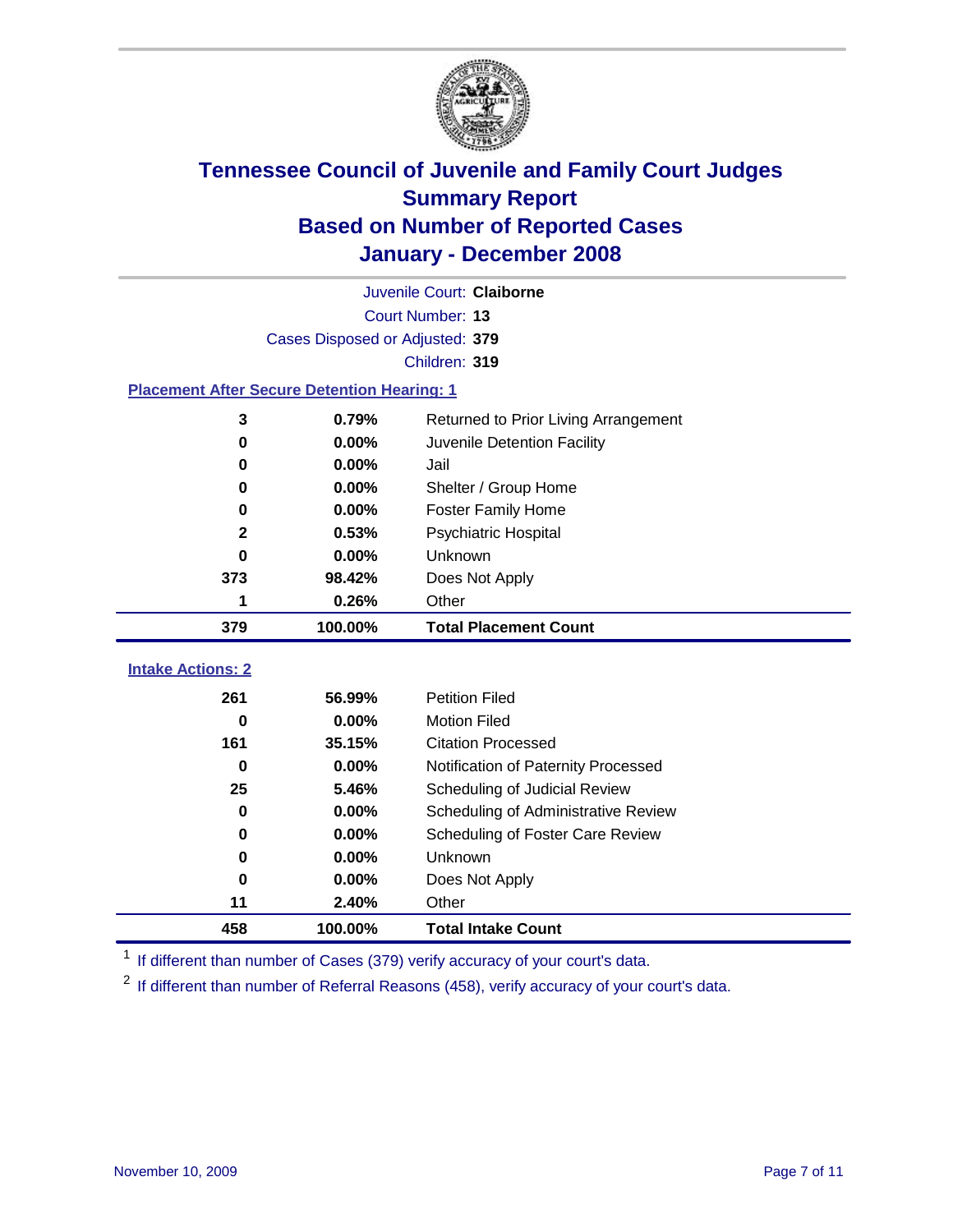

|                                                    |                                 | Juvenile Court: Claiborne                                            |  |  |  |  |
|----------------------------------------------------|---------------------------------|----------------------------------------------------------------------|--|--|--|--|
|                                                    | Court Number: 13                |                                                                      |  |  |  |  |
|                                                    | Cases Disposed or Adjusted: 379 |                                                                      |  |  |  |  |
|                                                    |                                 | Children: 319                                                        |  |  |  |  |
| <b>Placement After Secure Detention Hearing: 1</b> |                                 |                                                                      |  |  |  |  |
| 3                                                  | 0.79%                           | Returned to Prior Living Arrangement                                 |  |  |  |  |
| $\bf{0}$                                           | 0.00%                           | Juvenile Detention Facility                                          |  |  |  |  |
| 0                                                  | 0.00%                           | Jail                                                                 |  |  |  |  |
| $\bf{0}$                                           | 0.00%                           | Shelter / Group Home                                                 |  |  |  |  |
| 0                                                  | 0.00%                           | <b>Foster Family Home</b>                                            |  |  |  |  |
| $\mathbf 2$                                        | 0.53%                           | Psychiatric Hospital                                                 |  |  |  |  |
| $\bf{0}$                                           | 0.00%                           | Unknown                                                              |  |  |  |  |
| 373                                                | 98.42%                          | Does Not Apply                                                       |  |  |  |  |
| 1                                                  | 0.26%                           | Other                                                                |  |  |  |  |
| 379                                                | 100.00%                         | <b>Total Placement Count</b>                                         |  |  |  |  |
|                                                    |                                 |                                                                      |  |  |  |  |
|                                                    |                                 |                                                                      |  |  |  |  |
| <b>Intake Actions: 2</b>                           |                                 |                                                                      |  |  |  |  |
| 261                                                | 56.99%                          | <b>Petition Filed</b>                                                |  |  |  |  |
| $\bf{0}$<br>161                                    | 0.00%<br>35.15%                 | <b>Motion Filed</b><br><b>Citation Processed</b>                     |  |  |  |  |
| $\bf{0}$                                           | 0.00%                           |                                                                      |  |  |  |  |
| 25                                                 | 5.46%                           | Notification of Paternity Processed<br>Scheduling of Judicial Review |  |  |  |  |
| $\bf{0}$                                           | 0.00%                           | Scheduling of Administrative Review                                  |  |  |  |  |
| 0                                                  | 0.00%                           | Scheduling of Foster Care Review                                     |  |  |  |  |
| $\bf{0}$                                           | 0.00%                           | Unknown                                                              |  |  |  |  |
| $\bf{0}$                                           | 0.00%                           | Does Not Apply                                                       |  |  |  |  |
| 11                                                 | 2.40%                           | Other                                                                |  |  |  |  |

<sup>1</sup> If different than number of Cases (379) verify accuracy of your court's data.

<sup>2</sup> If different than number of Referral Reasons (458), verify accuracy of your court's data.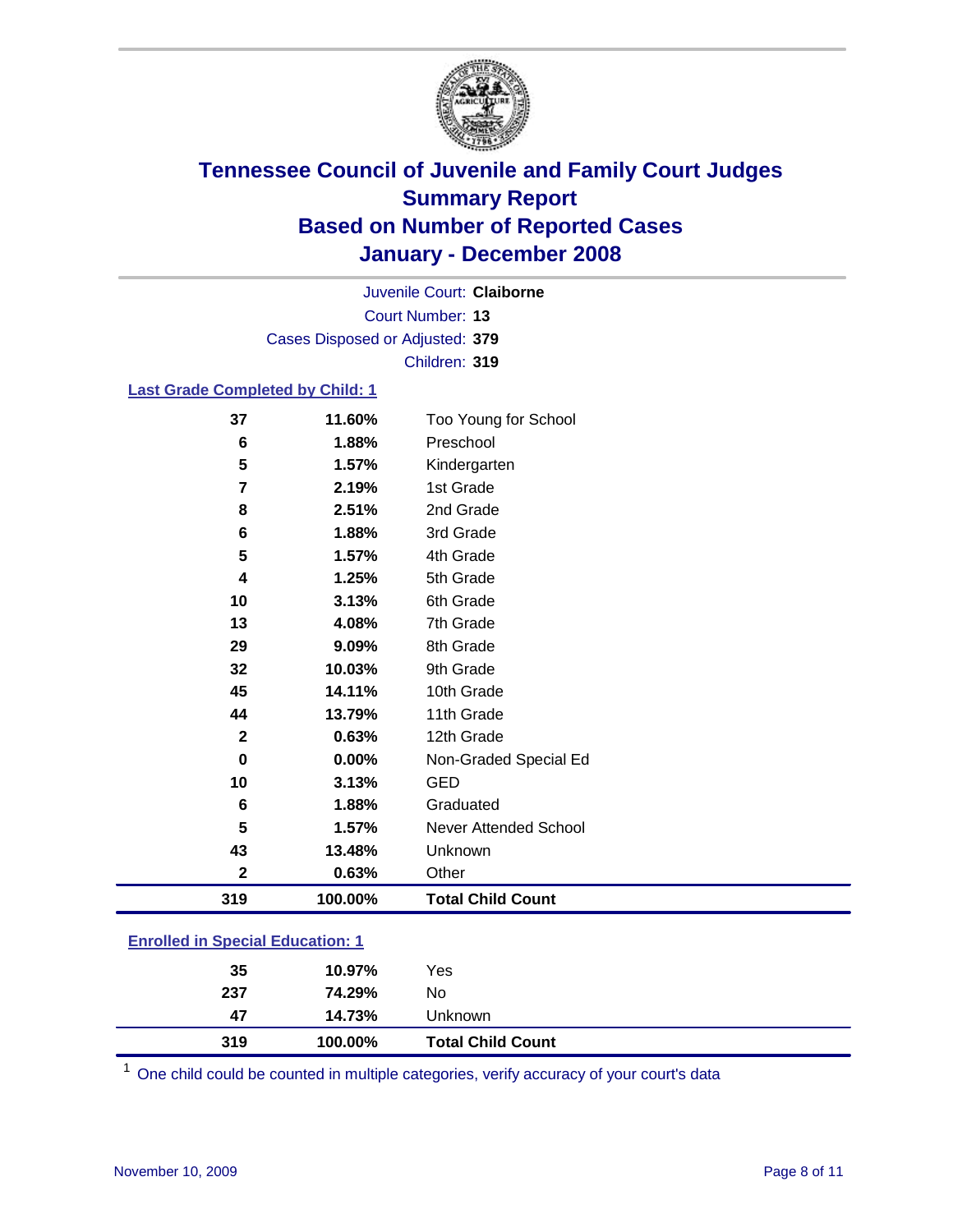

Court Number: **13** Juvenile Court: **Claiborne** Cases Disposed or Adjusted: **379** Children: **319**

### **Last Grade Completed by Child: 1**

| 319            | 100.00% | <b>Total Child Count</b> |
|----------------|---------|--------------------------|
| $\mathbf 2$    | 0.63%   | Other                    |
| 43             | 13.48%  | Unknown                  |
| 5              | 1.57%   | Never Attended School    |
| 6              | 1.88%   | Graduated                |
| 10             | 3.13%   | <b>GED</b>               |
| $\bf{0}$       | 0.00%   | Non-Graded Special Ed    |
| $\mathbf{2}$   | 0.63%   | 12th Grade               |
| 44             | 13.79%  | 11th Grade               |
| 45             | 14.11%  | 10th Grade               |
| 32             | 10.03%  | 9th Grade                |
| 29             | 9.09%   | 8th Grade                |
| 13             | 4.08%   | 7th Grade                |
| 10             | 3.13%   | 6th Grade                |
| 4              | 1.25%   | 5th Grade                |
| 5              | 1.57%   | 4th Grade                |
| 6              | 1.88%   | 3rd Grade                |
| 8              | 2.51%   | 2nd Grade                |
| $\overline{7}$ | 2.19%   | 1st Grade                |
| 5              | 1.57%   | Kindergarten             |
| 6              | 1.88%   | Preschool                |
| 37             | 11.60%  | Too Young for School     |

### **Enrolled in Special Education: 1**

| 237<br>14.73%<br>47<br>319<br>100.00% | Unknown                  |  |
|---------------------------------------|--------------------------|--|
|                                       | <b>Total Child Count</b> |  |

One child could be counted in multiple categories, verify accuracy of your court's data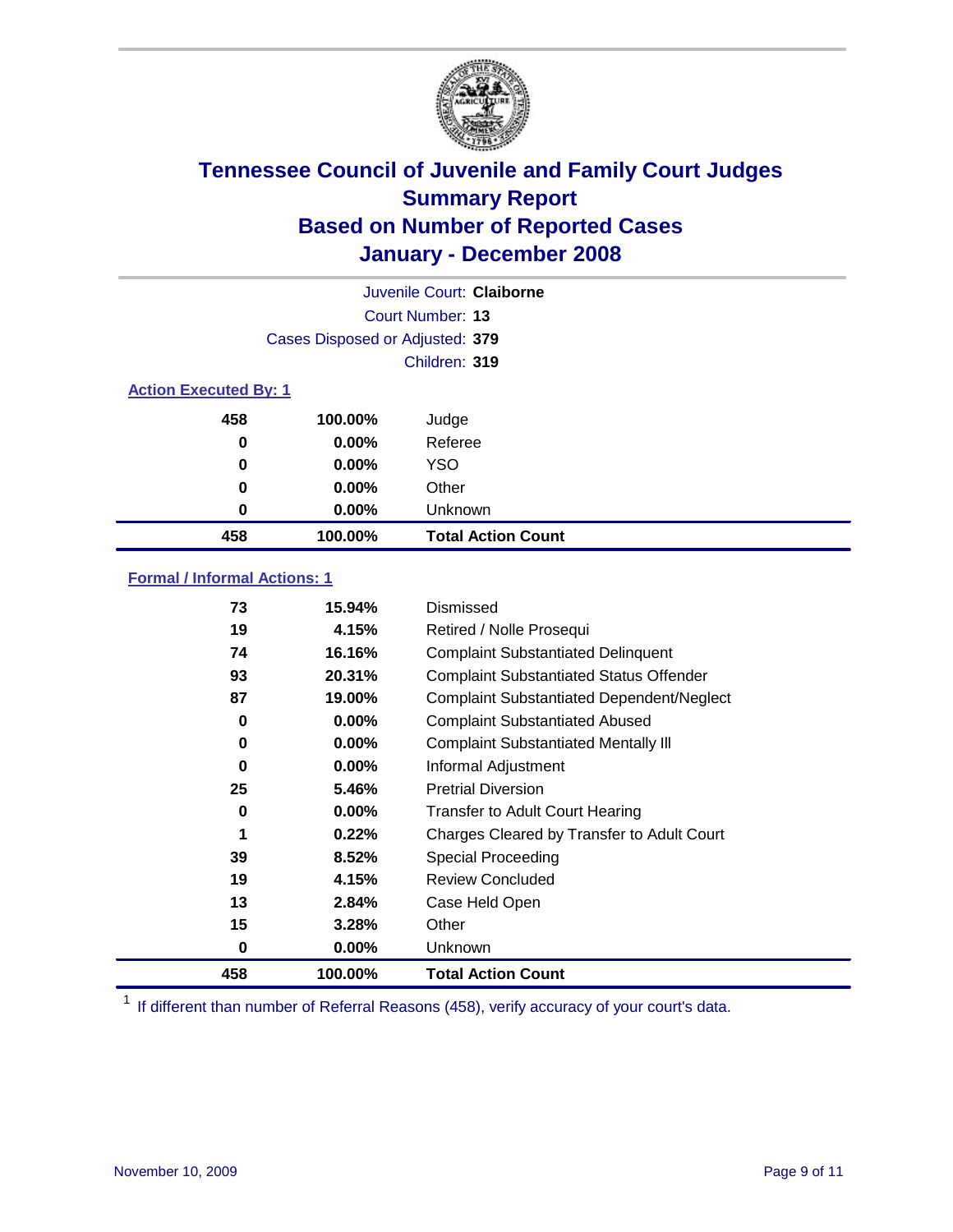

|                              |                                 | Juvenile Court: Claiborne |
|------------------------------|---------------------------------|---------------------------|
|                              |                                 | Court Number: 13          |
|                              | Cases Disposed or Adjusted: 379 |                           |
|                              |                                 | Children: 319             |
| <b>Action Executed By: 1</b> |                                 |                           |
| 458                          | 100.00%                         | Judge                     |
| 0                            | $0.00\%$                        | Referee                   |
| 0                            | 0.00%                           | <b>YSO</b>                |
| 0                            | 0.00%                           | Other                     |
| 0                            | 0.00%                           | Unknown                   |
| 458                          | 100.00%                         | <b>Total Action Count</b> |

### **Formal / Informal Actions: 1**

| 73  | 15.94%   | Dismissed                                        |
|-----|----------|--------------------------------------------------|
| 19  | 4.15%    | Retired / Nolle Prosequi                         |
| 74  | 16.16%   | <b>Complaint Substantiated Delinquent</b>        |
| 93  | 20.31%   | <b>Complaint Substantiated Status Offender</b>   |
| 87  | 19.00%   | <b>Complaint Substantiated Dependent/Neglect</b> |
| 0   | $0.00\%$ | <b>Complaint Substantiated Abused</b>            |
| 0   | $0.00\%$ | <b>Complaint Substantiated Mentally III</b>      |
| 0   | $0.00\%$ | Informal Adjustment                              |
| 25  | 5.46%    | <b>Pretrial Diversion</b>                        |
| 0   | $0.00\%$ | <b>Transfer to Adult Court Hearing</b>           |
| 1   | 0.22%    | Charges Cleared by Transfer to Adult Court       |
| 39  | 8.52%    | Special Proceeding                               |
| 19  | 4.15%    | <b>Review Concluded</b>                          |
| 13  | 2.84%    | Case Held Open                                   |
| 15  | 3.28%    | Other                                            |
| 0   | $0.00\%$ | <b>Unknown</b>                                   |
| 458 | 100.00%  | <b>Total Action Count</b>                        |

<sup>1</sup> If different than number of Referral Reasons (458), verify accuracy of your court's data.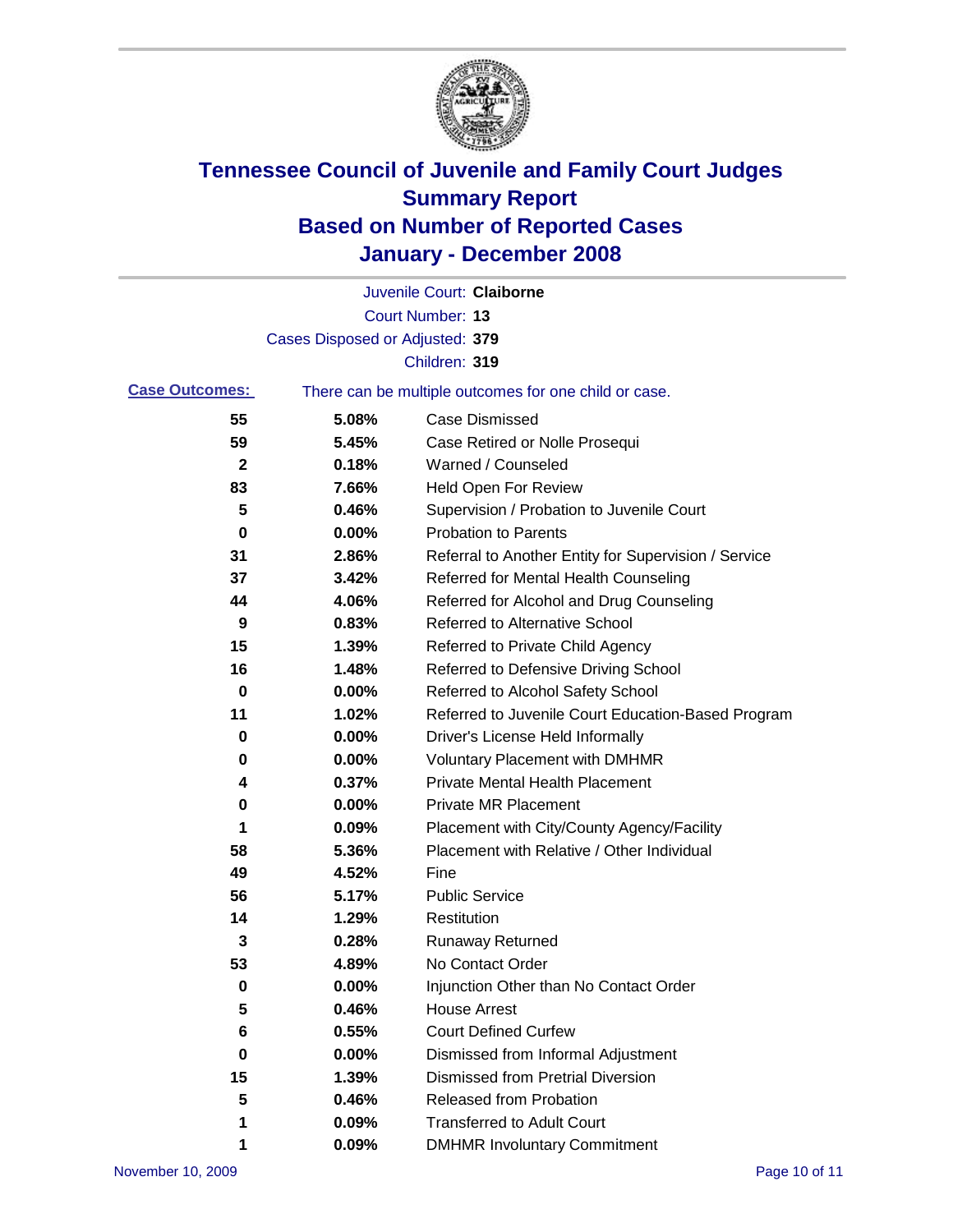

|                       |                                 | Juvenile Court: Claiborne                             |
|-----------------------|---------------------------------|-------------------------------------------------------|
|                       |                                 | Court Number: 13                                      |
|                       | Cases Disposed or Adjusted: 379 |                                                       |
|                       |                                 | Children: 319                                         |
| <b>Case Outcomes:</b> |                                 | There can be multiple outcomes for one child or case. |
| 55                    | 5.08%                           | <b>Case Dismissed</b>                                 |
| 59                    | 5.45%                           | Case Retired or Nolle Prosequi                        |
| $\mathbf{2}$          | 0.18%                           | Warned / Counseled                                    |
| 83                    | 7.66%                           | <b>Held Open For Review</b>                           |
| 5                     | 0.46%                           | Supervision / Probation to Juvenile Court             |
| 0                     | 0.00%                           | <b>Probation to Parents</b>                           |
| 31                    | 2.86%                           | Referral to Another Entity for Supervision / Service  |
| 37                    | 3.42%                           | Referred for Mental Health Counseling                 |
| 44                    | 4.06%                           | Referred for Alcohol and Drug Counseling              |
| 9                     | 0.83%                           | Referred to Alternative School                        |
| 15                    | 1.39%                           | Referred to Private Child Agency                      |
| 16                    | 1.48%                           | Referred to Defensive Driving School                  |
| 0                     | 0.00%                           | Referred to Alcohol Safety School                     |
| 11                    | 1.02%                           | Referred to Juvenile Court Education-Based Program    |
| 0                     | 0.00%                           | Driver's License Held Informally                      |
| 0                     | 0.00%                           | <b>Voluntary Placement with DMHMR</b>                 |
| 4                     | 0.37%                           | <b>Private Mental Health Placement</b>                |
| $\bf{0}$              | 0.00%                           | <b>Private MR Placement</b>                           |
| 1                     | 0.09%                           | Placement with City/County Agency/Facility            |
| 58                    | 5.36%                           | Placement with Relative / Other Individual            |
| 49                    | 4.52%                           | Fine                                                  |
| 56                    | 5.17%                           | <b>Public Service</b>                                 |
| 14                    | 1.29%                           | Restitution                                           |
| 3                     | 0.28%                           | <b>Runaway Returned</b>                               |
| 53                    | 4.89%                           | No Contact Order                                      |
| 0                     | 0.00%                           | Injunction Other than No Contact Order                |
| 5                     | 0.46%                           | <b>House Arrest</b>                                   |
| 6                     | 0.55%                           | <b>Court Defined Curfew</b>                           |
| 0                     | 0.00%                           | Dismissed from Informal Adjustment                    |
| 15                    | 1.39%                           | <b>Dismissed from Pretrial Diversion</b>              |
| 5                     | 0.46%                           | Released from Probation                               |
| 1                     | 0.09%                           | <b>Transferred to Adult Court</b>                     |
| 1                     | 0.09%                           | <b>DMHMR Involuntary Commitment</b>                   |